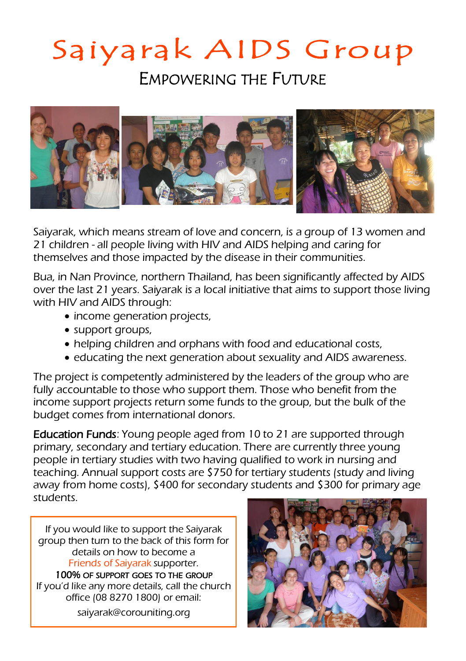## Saiyarak AIDS Group

EMPOWERING THE FUTURE



Saiyarak, which means stream of love and concern, is a group of 13 women and 21 children - all people living with HIV and AIDS helping and caring for themselves and those impacted by the disease in their communities.

Bua, in Nan Province, northern Thailand, has been significantly affected by AIDS over the last 21 years. Saiyarak is a local initiative that aims to support those living with HIV and AIDS through:

- income generation projects,
- support groups,
- helping children and orphans with food and educational costs,
- educating the next generation about sexuality and AIDS awareness.

The project is competently administered by the leaders of the group who are fully accountable to those who support them. Those who benefit from the income support projects return some funds to the group, but the bulk of the budget comes from international donors.

Education Funds: Young people aged from 10 to 21 are supported through primary, secondary and tertiary education. There are currently three young people in tertiary studies with two having qualified to work in nursing and teaching. Annual support costs are \$750 for tertiary students (study and living away from home costs), \$400 for secondary students and \$300 for primary age students.

If you would like to support the Saiyarak group then turn to the back of this form for details on how to become a Friends of Saiyarak supporter. 100% OF SUPPORT GOES TO THE GROUP

If you'd like any more details, call the church office (08 8270 1800) or email:

saiyarak@corouniting.org